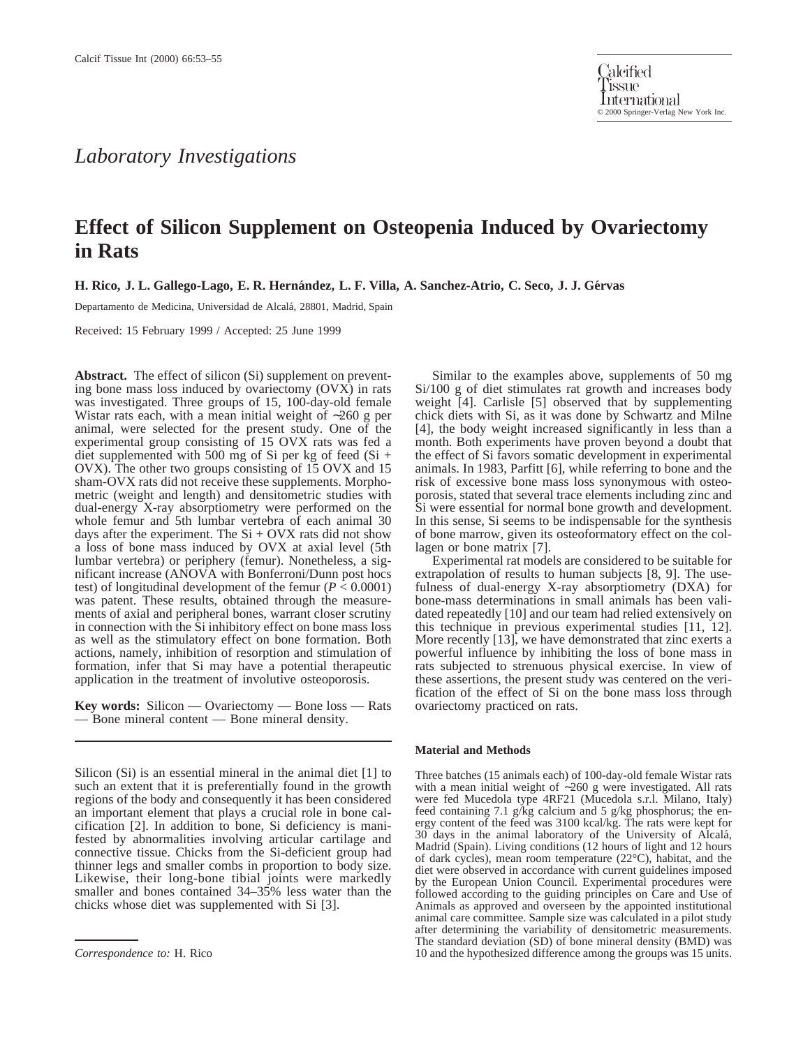## *Laboratory Investigations*

# **Effect of Silicon Supplement on Osteopenia Induced by Ovariectomy in Rats**

**H. Rico, J. L. Gallego-Lago, E. R. Herna´ndez, L. F. Villa, A. Sanchez-Atrio, C. Seco, J. J. Ge´rvas**

Departamento de Medicina, Universidad de Alcalá, 28801, Madrid, Spain

Received: 15 February 1999 / Accepted: 25 June 1999

**Abstract.** The effect of silicon (Si) supplement on preventing bone mass loss induced by ovariectomy (OVX) in rats was investigated. Three groups of 15, 100-day-old female Wistar rats each, with a mean initial weight of ∼260 g per animal, were selected for the present study. One of the experimental group consisting of 15 OVX rats was fed a diet supplemented with 500 mg of Si per kg of feed  $(Si +$ OVX). The other two groups consisting of 15 OVX and 15 sham-OVX rats did not receive these supplements. Morphometric (weight and length) and densitometric studies with dual-energy X-ray absorptiometry were performed on the whole femur and 5th lumbar vertebra of each animal 30 days after the experiment. The  $Si + OVX$  rats did not show a loss of bone mass induced by OVX at axial level (5th lumbar vertebra) or periphery (femur). Nonetheless, a significant increase (ANOVA with Bonferroni/Dunn post hocs test) of longitudinal development of the femur  $(P < 0.0001)$ was patent. These results, obtained through the measurements of axial and peripheral bones, warrant closer scrutiny in connection with the Si inhibitory effect on bone mass loss as well as the stimulatory effect on bone formation. Both actions, namely, inhibition of resorption and stimulation of formation, infer that Si may have a potential therapeutic application in the treatment of involutive osteoporosis.

**Key words:** Silicon — Ovariectomy — Bone loss — Rats — Bone mineral content — Bone mineral density.

Silicon (Si) is an essential mineral in the animal diet [1] to such an extent that it is preferentially found in the growth regions of the body and consequently it has been considered an important element that plays a crucial role in bone calcification [2]. In addition to bone, Si deficiency is manifested by abnormalities involving articular cartilage and connective tissue. Chicks from the Si-deficient group had thinner legs and smaller combs in proportion to body size. Likewise, their long-bone tibial joints were markedly smaller and bones contained 34–35% less water than the chicks whose diet was supplemented with Si [3].

Similar to the examples above, supplements of 50 mg Si/100 g of diet stimulates rat growth and increases body weight [4]. Carlisle [5] observed that by supplementing chick diets with Si, as it was done by Schwartz and Milne [4], the body weight increased significantly in less than a month. Both experiments have proven beyond a doubt that the effect of Si favors somatic development in experimental animals. In 1983, Parfitt [6], while referring to bone and the risk of excessive bone mass loss synonymous with osteoporosis, stated that several trace elements including zinc and Si were essential for normal bone growth and development. In this sense, Si seems to be indispensable for the synthesis of bone marrow, given its osteoformatory effect on the collagen or bone matrix [7].

Experimental rat models are considered to be suitable for extrapolation of results to human subjects [8, 9]. The usefulness of dual-energy X-ray absorptiometry (DXA) for bone-mass determinations in small animals has been validated repeatedly [10] and our team had relied extensively on this technique in previous experimental studies [11, 12]. More recently [13], we have demonstrated that zinc exerts a powerful influence by inhibiting the loss of bone mass in rats subjected to strenuous physical exercise. In view of these assertions, the present study was centered on the verification of the effect of Si on the bone mass loss through ovariectomy practiced on rats.

#### **Material and Methods**

Three batches (15 animals each) of 100-day-old female Wistar rats with a mean initial weight of ∼260 g were investigated. All rats were fed Mucedola type 4RF21 (Mucedola s.r.l. Milano, Italy) feed containing 7.1 g/kg calcium and 5 g/kg phosphorus; the energy content of the feed was 3100 kcal/kg. The rats were kept for 30 days in the animal laboratory of the University of Alcala´, Madrid (Spain). Living conditions (12 hours of light and 12 hours of dark cycles), mean room temperature (22°C), habitat, and the diet were observed in accordance with current guidelines imposed by the European Union Council. Experimental procedures were followed according to the guiding principles on Care and Use of Animals as approved and overseen by the appointed institutional animal care committee. Sample size was calculated in a pilot study after determining the variability of densitometric measurements. The standard deviation (SD) of bone mineral density (BMD) was *Correspondence to:* H. Rico 10 and the hypothesized difference among the groups was 15 units.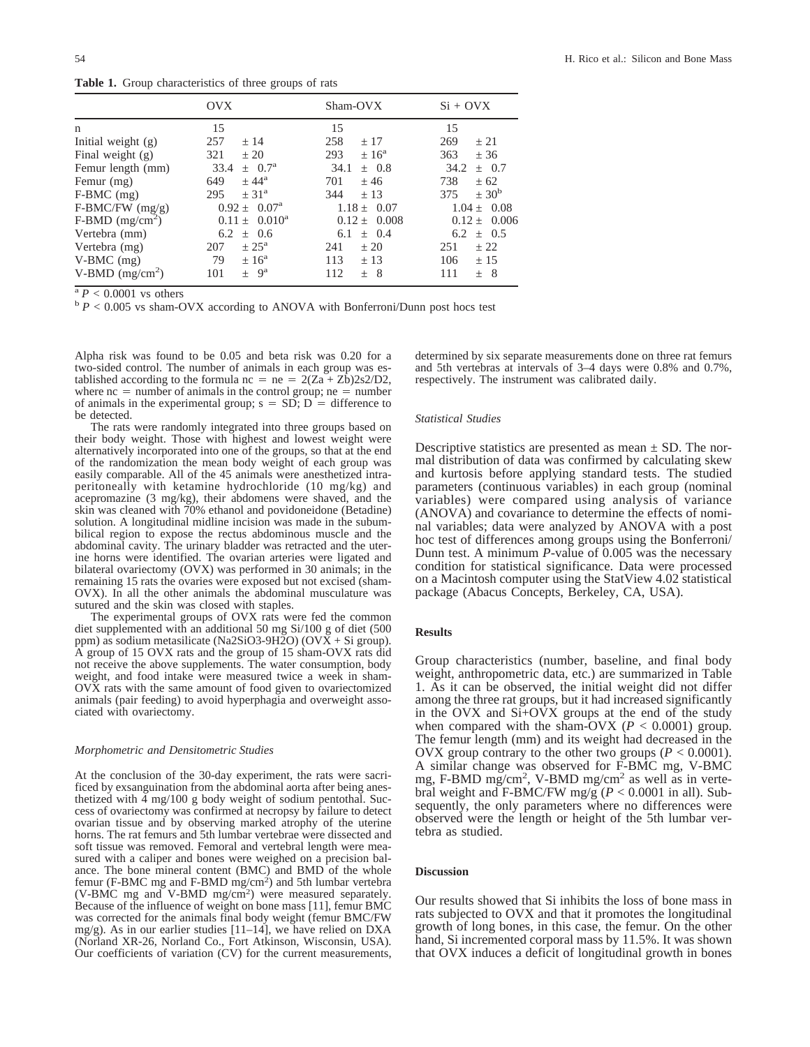**Table 1.** Group characteristics of three groups of rats

|                               | OVX                        | Sham-OVX         | $Si + OVX$            |
|-------------------------------|----------------------------|------------------|-----------------------|
| n                             | 15                         | 15               | 15                    |
| Initial weight (g)            | 257                        | 258              | 269                   |
|                               | ± 14                       | ± 17             | ± 21                  |
| Final weight (g)              | 321                        | 293              | 363                   |
|                               | $+20$                      | $\pm 16^{\rm a}$ | ± 36                  |
| Femur length (mm)             | 33.4                       | 34.1             | 34.2                  |
|                               | $\pm 0.7^{\rm a}$          | $\pm$ 0.8        | $\pm$ 0.7             |
| Femur (mg)                    | $+44^{\rm a}$              | 701              | 738                   |
|                               | 649                        | $+46$            | $+62$                 |
| F-BMC (mg)                    | $+31^{\rm a}$              | 344              | $\pm$ 30 <sup>b</sup> |
|                               | 295                        | $+13$            | 375                   |
| $F-BMC/FW$ (mg/g)             | $0.92 \pm 0.07^{\text{a}}$ | $1.18 + 0.07$    | $1.04 + 0.08$         |
| $F-BMD$ (mg/cm <sup>2</sup> ) | $0.11 \pm 0.010^a$         | $0.12 \pm 0.008$ | $0.12 \pm 0.006$      |
| Vertebra (mm)                 | 6.2                        | 6.1              | $\pm$ 0.5             |
|                               | $\pm$ 0.6                  | $\pm$ 0.4        | 6.2                   |
| Vertebra (mg)                 | $\pm 25^{\rm a}$           | ± 20             | ± 22                  |
|                               | 207                        | 241              | 251                   |
| $V-BMC$ (mg)                  | $\pm 16^{\rm a}$           | 113              | 106                   |
|                               | 79                         | ± 13             | ± 15                  |
| V-BMD $(mg/cm2)$              | $+ 9^a$                    | 112              | 111                   |
|                               | 101                        | $\pm$ 8          | $\pm$ 8               |

<sup>a</sup> *P* < 0.0001 vs others b *P* < 0.005 vs sham-OVX according to ANOVA with Bonferroni/Dunn post hocs test

Alpha risk was found to be 0.05 and beta risk was 0.20 for a two-sided control. The number of animals in each group was established according to the formula  $nc = ne = 2(Za + Zb)2s2/D2$ , where  $nc =$  number of animals in the control group;  $ne =$  number of animals in the experimental group;  $s = SD$ ;  $D =$  difference to be detected.

The rats were randomly integrated into three groups based on their body weight. Those with highest and lowest weight were alternatively incorporated into one of the groups, so that at the end of the randomization the mean body weight of each group was easily comparable. All of the 45 animals were anesthetized intraperitoneally with ketamine hydrochloride (10 mg/kg) and acepromazine (3 mg/kg), their abdomens were shaved, and the skin was cleaned with 70% ethanol and povidoneidone (Betadine) solution. A longitudinal midline incision was made in the subumbilical region to expose the rectus abdominous muscle and the abdominal cavity. The urinary bladder was retracted and the uterine horns were identified. The ovarian arteries were ligated and bilateral ovariectomy (OVX) was performed in 30 animals; in the remaining 15 rats the ovaries were exposed but not excised (sham-OVX). In all the other animals the abdominal musculature was sutured and the skin was closed with staples.

The experimental groups of OVX rats were fed the common diet supplemented with an additional 50 mg Si/100 g of diet (500 ppm) as sodium metasilicate (Na2SiO3-9H2O) (OVX + Si group). A group of 15 OVX rats and the group of 15 sham-OVX rats did not receive the above supplements. The water consumption, body weight, and food intake were measured twice a week in sham-OVX rats with the same amount of food given to ovariectomized animals (pair feeding) to avoid hyperphagia and overweight associated with ovariectomy.

### *Morphometric and Densitometric Studies*

At the conclusion of the 30-day experiment, the rats were sacrificed by exsanguination from the abdominal aorta after being anesthetized with 4 mg/100 g body weight of sodium pentothal. Success of ovariectomy was confirmed at necropsy by failure to detect ovarian tissue and by observing marked atrophy of the uterine horns. The rat femurs and 5th lumbar vertebrae were dissected and soft tissue was removed. Femoral and vertebral length were measured with a caliper and bones were weighed on a precision balance. The bone mineral content (BMC) and BMD of the whole femur (F-BMC mg and F-BMD mg/cm<sup>2</sup>) and 5th lumbar vertebra (V-BMC mg and V-BMD mg/cm2 ) were measured separately. Because of the influence of weight on bone mass [11], femur BMC was corrected for the animals final body weight (femur BMC/FW mg/g). As in our earlier studies [11–14], we have relied on DXA (Norland XR-26, Norland Co., Fort Atkinson, Wisconsin, USA). Our coefficients of variation (CV) for the current measurements, determined by six separate measurements done on three rat femurs and 5th vertebras at intervals of 3–4 days were 0.8% and 0.7%, respectively. The instrument was calibrated daily.

#### *Statistical Studies*

Descriptive statistics are presented as mean  $\pm$  SD. The normal distribution of data was confirmed by calculating skew and kurtosis before applying standard tests. The studied parameters (continuous variables) in each group (nominal variables) were compared using analysis of variance (ANOVA) and covariance to determine the effects of nominal variables; data were analyzed by ANOVA with a post hoc test of differences among groups using the Bonferroni/ Dunn test. A minimum *P*-value of 0.005 was the necessary condition for statistical significance. Data were processed on a Macintosh computer using the StatView 4.02 statistical package (Abacus Concepts, Berkeley, CA, USA).

## **Results**

Group characteristics (number, baseline, and final body weight, anthropometric data, etc.) are summarized in Table 1. As it can be observed, the initial weight did not differ among the three rat groups, but it had increased significantly in the OVX and Si+OVX groups at the end of the study when compared with the sham-OVX ( $P < 0.0001$ ) group. The femur length (mm) and its weight had decreased in the OVX group contrary to the other two groups  $(P < 0.0001)$ . A similar change was observed for F-BMC mg, V-BMC mg, F-BMD mg/cm<sup>2</sup>, V-BMD mg/cm<sup>2</sup> as well as in vertebral weight and F-BMC/FW mg/g (*P* < 0.0001 in all). Subsequently, the only parameters where no differences were observed were the length or height of the 5th lumbar vertebra as studied.

#### **Discussion**

Our results showed that Si inhibits the loss of bone mass in rats subjected to OVX and that it promotes the longitudinal growth of long bones, in this case, the femur. On the other hand, Si incremented corporal mass by 11.5%. It was shown that OVX induces a deficit of longitudinal growth in bones